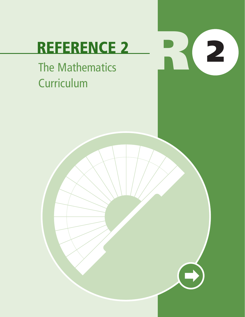# **REFERENCE 2**

**R <sup>2</sup>**

## The Mathematics **Curriculum**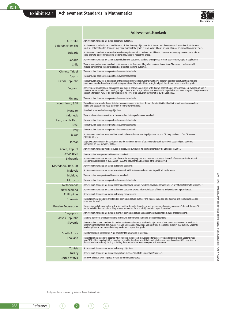

|                           | Achievement Standards                                                                                                                                                                                                                                                                                                                                                                            |
|---------------------------|--------------------------------------------------------------------------------------------------------------------------------------------------------------------------------------------------------------------------------------------------------------------------------------------------------------------------------------------------------------------------------------------------|
| Australia                 | Achievement standards are stated as learning outcomes.                                                                                                                                                                                                                                                                                                                                           |
| <b>Belgium (Flemish)</b>  | Achievement standards are stated in terms of final learning objectives for A Stream and developmental objectives for B Stream.<br>Students not meeting the standards may need to repeat the grade, receive reduced hours of instruction, or be moved to an easier class.                                                                                                                         |
| <b>Bulgaria</b>           | Achievement standards are stated as broad descriptions of what students should know. Students not meeting the standards take an<br>extra exam to be promoted; some students may need to repeat the grade.                                                                                                                                                                                        |
| Canada                    | Achievement standards are stated as specific learning outcomes. Students are expected to learn each concept, topic, or application.                                                                                                                                                                                                                                                              |
| Chile                     | There are no performance standards but there are objectives describing what students should learn. The revised curriculum will<br>include performance standards stated as expected learning outcomes.                                                                                                                                                                                            |
| <b>Chinese Taipei</b>     | The curriculum does not incorporate achievement standards.                                                                                                                                                                                                                                                                                                                                       |
| Cyprus                    | The curriculum does not incorporate achievement standards.                                                                                                                                                                                                                                                                                                                                       |
| Czech Republic            | The curriculum provides a description of the skills and knowledge students must have. Teachers decide if the student has met the<br>curriculum standards and considers this in promotion. If a student fails a single subject, the student must repeat the grade.                                                                                                                                |
| England                   | Achievement standards are established as a system of levels, each level with its own description of performance. On average, at age 7<br>students are expected to be at level 2; at age 11 level 4; and at age 13 level 5/6. One level is regarded as two years progress. The government<br>has set a target of 75% of 11 year olds reaching level 4 (or above) in mathematics by the year 2002. |
| Finland                   | The curriculum does not incorporate achievement standards.                                                                                                                                                                                                                                                                                                                                       |
| Hong Kong, SAR            | The achievement standards are stated as learner-centered objectives. A core of content is identified in the mathematics curriculum;<br>exams and assessments have a portion of items from this core.                                                                                                                                                                                             |
| Hungary                   | Standards are stated as learning objectives.                                                                                                                                                                                                                                                                                                                                                     |
| Indonesia                 | There are instructional objectives in the curriculum but no performance standards.                                                                                                                                                                                                                                                                                                               |
| Iran, Islamic Rep.        | The curriculum does not incorporate achievement standards.                                                                                                                                                                                                                                                                                                                                       |
| <b>Israel</b>             | The curriculum does not incorporate achievement standards.                                                                                                                                                                                                                                                                                                                                       |
| <b>Italy</b>              | The curriculum does not incorporate achievement standards.                                                                                                                                                                                                                                                                                                                                       |
| Japan                     | Achievement standards are stated in the national curriculum as learning objectives, such as "To help students" or "To enable<br>students to".                                                                                                                                                                                                                                                    |
| Jordan                    | Objectives are defined in the curriculum and the minimum percent of attainment for each objective is specified (e.g., performs<br>operations on real numbers - 80%).                                                                                                                                                                                                                             |
| Korea, Rep. of            | Achievement standards will be included in the revised curriculum (to be implemented at the 8th grade in 2001).                                                                                                                                                                                                                                                                                   |
| Latvia (LSS)              | The curriculum incorporates achievement standards.                                                                                                                                                                                                                                                                                                                                               |
| Lithuania                 | Achievement standards are not a part of curricula, but are prepared as a separate document. The draft of the National Educational<br>Standards was released in 1997. As of 1999, the document had not been officially approved.                                                                                                                                                                  |
| Macedonia, Rep. Of        | Achievement standards are stated as learning objectives.                                                                                                                                                                                                                                                                                                                                         |
| Malaysia                  | Achievement standards are stated as mathematic skills in the curriculum content specifications document.                                                                                                                                                                                                                                                                                         |
| Moldova                   | The curriculum incorporates achievement standards.                                                                                                                                                                                                                                                                                                                                               |
| Morocco                   | The curriculum does not incorporate achievement standards.                                                                                                                                                                                                                                                                                                                                       |
| <b>Netherlands</b>        | Achievement standards are stated as learning objectives, such as "Students develop a competence" or "Students learn to research".                                                                                                                                                                                                                                                                |
| New Zealand               | Achievement standards are stated as learning outcomes expressed at eight levels of learning independent of age and grade.                                                                                                                                                                                                                                                                        |
| <b>Philippines</b>        | Achievement standards are stated as learning competencies.                                                                                                                                                                                                                                                                                                                                       |
| Romania                   | The achievement standards are stated as learning objectives, such as "The student should be able to arrive at a conclusion based on<br>experimental work".                                                                                                                                                                                                                                       |
| <b>Russian Federation</b> | The requirements for content of instruction and for students' knowledge and performance (learning outcomes: "student should")<br>are included in the curriculum. They are recommended for schools by the Ministry of Education.                                                                                                                                                                  |
| Singapore                 | Achievement standards are stated in terms of learning objectives and assessment guidelines (i.e. table of specifications).                                                                                                                                                                                                                                                                       |
| Slovak Republic           | Learning objectives are included in the curriculum. Performance standards are in development.                                                                                                                                                                                                                                                                                                    |
| Slovenia                  | The curriculum states standards for student performance by grade level and subject area. If a student's achievement in a subject is<br>under minimal standard, the student receives an unsatisfactory mark and must take a correcting exam in that subject. Students<br>receiving three or more unsatisfactory marks must repeat the grade.                                                      |
| South Africa              | The standards are not specific. A list of content to be covered is provided.                                                                                                                                                                                                                                                                                                                     |
| Thailand                  | The achievement standards describe what students should learn including performance levels and explicit criteria. Students must<br>pass 50% of the standards. (The standards are set by the department that conducts the assessments and are NOT prescribed in<br>the national curriculum.) Passing or failing the standards has no consequences for students.                                   |
| Tunisia                   | Achievement standards are stated as learning objectives.                                                                                                                                                                                                                                                                                                                                         |
| Turkey                    | Achievement standards are stated as objectives, such as "Ability to understand/know".                                                                                                                                                                                                                                                                                                            |
| <b>United States</b>      | By 1999, all states were required to have performance standards.                                                                                                                                                                                                                                                                                                                                 |

SOURCE: IEA Third International Mathematics and Science Study (TMSS), 1998-1999. SOURCE: IEA Third International Mathematics and Science Study (TIMSS), 1998-1999.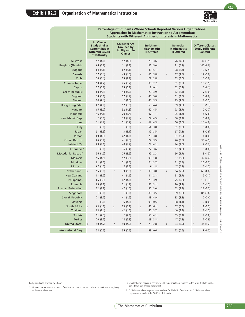

|                                   |             |                                                                                                          |              |                                                                              |             | <b>Students with Different Abilities or Interests in Mathematics</b> | <b>Approaches in Mathematics Instruction to Accommodate</b> |                                                            |   |                                                               |
|-----------------------------------|-------------|----------------------------------------------------------------------------------------------------------|--------------|------------------------------------------------------------------------------|-------------|----------------------------------------------------------------------|-------------------------------------------------------------|------------------------------------------------------------|---|---------------------------------------------------------------|
|                                   |             | <b>All Classes</b><br><b>Study Similar</b><br>Content but at<br><b>Different Levels</b><br>of Difficulty |              | <b>Students Are</b><br>Grouped by<br><b>Ability within</b><br><b>Classes</b> |             | <b>Enrichment</b><br><b>Mathematics</b><br><b>Is Offered</b>         |                                                             | <b>Remedial</b><br><b>Mathematics</b><br><b>Is Offered</b> |   | <b>Different Classes</b><br><b>Study Different</b><br>Content |
| Australia                         |             | 57 (4.0)                                                                                                 |              | 57(4.3)                                                                      |             | 76 (3.6)                                                             |                                                             | 76 (4.0)                                                   |   | 33 (3.9)                                                      |
| <b>Belgium (Flemish)</b>          |             | 66 (5.1)                                                                                                 |              | 11(3.2)                                                                      |             | 36 (5.0)                                                             |                                                             | 81(4.7)                                                    |   | 100(0.0)                                                      |
| <b>Bulgaria</b>                   |             | 64 (5.1)                                                                                                 |              | 62(5.1)                                                                      |             | 42 (5.1)                                                             |                                                             | 28 (4.4)                                                   |   | 10(2.5)                                                       |
| Canada                            | $\mathsf S$ | 77(3.4)                                                                                                  | S            | 43 (4.3)                                                                     | S           | 66 (3.8)                                                             | S                                                           | 87(2.5)                                                    | S | 17(3.0)                                                       |
| Chile                             |             | 70 (3.4)                                                                                                 |              | 25(2.9)                                                                      |             | 29 (2.8)                                                             |                                                             | 83 (3.0)                                                   |   | 15(3.0)                                                       |
| Chinese Taipei<br>Cyprus          |             | 50 (4.2)<br>57(0.3)                                                                                      |              | 25(3.7)<br>35(0.2)                                                           |             | 88 (2.7)<br>12(0.1)                                                  |                                                             | 81(3.5)<br>52 (0.2)                                        |   | 18(3.1)<br>5(0.1)                                             |
| <b>Czech Republic</b>             |             | 68 (4.3)                                                                                                 |              | 44 (5.0)                                                                     |             | 29(3.9)                                                              |                                                             | 62 (4.3)                                                   |   | 7(3.0)                                                        |
| England                           | $\mathsf r$ | 78 (3.6)                                                                                                 | $\mathsf r$  | 57(4.7)                                                                      | r           | 48 (5.0)                                                             | r                                                           | 61(4.8)                                                    | r | 0(0.0)                                                        |
| Finland                           |             | 94 (2.4)                                                                                                 |              | 5(1.3)                                                                       |             | 43 (3.9)                                                             |                                                             | 95 (1.8)                                                   |   | 7(2.5)                                                        |
| Hong Kong, SAR                    | r           | 62 (4.9)                                                                                                 |              | 17(3.5)                                                                      |             | 63 (4.4)                                                             |                                                             | 59 (4.8)                                                   | r | 3(1.7)                                                        |
| Hungary                           |             | 85(3.0)                                                                                                  |              | 52(4.3)                                                                      |             | 60(4.5)                                                              |                                                             | 73 (3.7)                                                   |   | 10(2.7)                                                       |
| Indonesia                         |             | 46 (4.8)                                                                                                 |              | 20(3.4)                                                                      |             | 97(1.1)                                                              |                                                             | 95 (1.7)                                                   |   | 12(2.8)                                                       |
| Iran, Islamic Rep.                |             | 0(0.0)                                                                                                   | S            | 39 (4.7)                                                                     | S           | 27(4.5)                                                              | $\sf S$                                                     | 80(4.2)                                                    |   | 0(0.0)                                                        |
| Israel                            | $\mathsf r$ | 71(4.7)                                                                                                  | $\mathsf{r}$ | 51(5.2)                                                                      | $\mathsf r$ | 69 (4.3)                                                             | $\mathsf r$                                                 | 66 (4.0)                                                   | r | 16(4.0)                                                       |
| Italy<br>Japan                    |             | 0(0.0)<br>31(3.9)                                                                                        |              | 0(0.0)<br>13(3.1)                                                            |             | 51(3.8)<br>32 (3.5)                                                  |                                                             | 81(3.0)<br>67(4.3)                                         |   | 0(0.0)<br>13(2.9)                                             |
| Jordan                            |             | 69 (4.3)                                                                                                 |              | 42 (4.6)                                                                     |             | 75 (3.8)                                                             |                                                             | 91(2.5)                                                    |   | 1(0.0)                                                        |
| Korea, Rep. of                    |             | 66 (3.9)                                                                                                 |              | 41(4.3)                                                                      |             | 27(3.5)                                                              |                                                             | 26(3.5)                                                    |   | 38 (4.5)                                                      |
| Latvia (LSS)                      |             | 69 (4.6)                                                                                                 |              | 40 (4.7)                                                                     |             | 24(4.1)                                                              |                                                             | 94 (2.0)                                                   |   | 2(1.2)                                                        |
| Lithuania <sup>+</sup>            |             | 0(0.0)                                                                                                   |              | 36(3.4)                                                                      |             | 72 (3.6)                                                             |                                                             | 67(4.0)                                                    |   | 0(0.0)                                                        |
| Macedonia, Rep. of                |             | 56 (4.2)                                                                                                 |              | 25(3.5)                                                                      |             | 92(2.3)                                                              |                                                             | 96(1.7)                                                    |   | 3(1.5)                                                        |
| Malaysia                          |             | 56 (4.5)                                                                                                 |              | 57 (3.9)                                                                     |             | 95 (1.8)                                                             |                                                             | 87(2.8)                                                    |   | 39 (4.4)                                                      |
| Moldova                           |             | 81(3.5)                                                                                                  |              | 71(3.5)                                                                      |             | 74 (3.7)                                                             |                                                             | 61(4.5)                                                    |   | 20(3.5)                                                       |
| Morocco                           |             | 67(4.0)                                                                                                  |              | 5(1.7)                                                                       |             | 6(1.8)                                                               |                                                             | 47 (4.7)                                                   |   | 5(1.7)                                                        |
| Netherlands                       | r           | 55 (6.8)                                                                                                 | $\mathsf{r}$ | 39 (6.9)                                                                     | r           | 90(3.8)                                                              | r                                                           | 64 (7.5)                                                   | r | 60(6.8)                                                       |
| <b>New Zealand</b><br>Philippines |             | 81(3.2)<br>86 (3.3)                                                                                      |              | 41(4.6)<br>42 (4.6)                                                          |             | 84 (2.8)<br>76 (3.9)                                                 |                                                             | 91(2.7)<br>75 (3.8)                                        | r | 5(2.1)<br>18(3.3)                                             |
| Romania                           |             | 85(3.2)                                                                                                  |              | 51 (4.9)                                                                     |             | 85(3.1)                                                              |                                                             | 90(2.2)                                                    |   | 5(1.7)                                                        |
| <b>Russian Federation</b>         |             | 32 (3.8)                                                                                                 |              | 47 (4.0)                                                                     |             | 90 (3.0)                                                             |                                                             | 53 (3.8)                                                   |   | 25(3.5)                                                       |
| Singapore                         |             | 0(0.0)                                                                                                   |              | 0(0.0)                                                                       |             | 80(3.5)                                                              |                                                             | 99 (0.8)                                                   |   | 82 (3.6)                                                      |
| Slovak Republic                   |             | 71(3.7)                                                                                                  |              | 41 $(4.2)$                                                                   |             | 38 (4.9)                                                             |                                                             | 83 (3.8)                                                   |   | 7(2.4)                                                        |
| Slovenia                          |             | 0(0.0)                                                                                                   |              | 36(4.0)                                                                      |             | 99 (0.5)                                                             |                                                             | 98 (1.1)                                                   |   | 0(0.0)                                                        |
| South Africa                      | $\mathsf S$ | 63 (4.6)                                                                                                 | S            | 33(5.2)                                                                      | S           | 45(6.1)                                                              | $\sf S$                                                     | 57 (4.6)                                                   | S | 13(3.5)                                                       |
| Thailand                          |             | 93 (2.4)                                                                                                 |              | 42 (4.0)                                                                     |             | 40 (3.7)                                                             |                                                             | 40 (3.9)                                                   |   | 3(1.2)                                                        |
| Tunisia<br>Turkey                 |             | 91(2.3)<br>70(3.7)                                                                                       |              | 8(2.6)<br>18(2.8)                                                            |             | 50(4.1)                                                              |                                                             | 85(3.2)<br>47 (4.8)                                        |   | 7(1.8)<br>14 (2.9)                                            |
| <b>United States</b>              | r           | 49 (4.7)                                                                                                 | r            | 49 (4.2)                                                                     | r           | 23(3.8)<br>79 (2.8)                                                  |                                                             | 64 (3.9)                                                   |   | 37 $(4.2)$                                                    |
|                                   |             |                                                                                                          |              |                                                                              |             |                                                                      |                                                             |                                                            |   |                                                               |
| <b>International Avg.</b>         |             | 58 (0.6)                                                                                                 |              | 35(0.6)                                                                      |             | 58 (0.6)                                                             |                                                             | 72 (0.6)                                                   |   | 17(0.5)                                                       |

**Percentage of Students Whose Schools Reported Various Organizational**

Background data provided by schools.

‡ Lithuania tested the same cohort of students as other countries, but later in 1999, at the beginning of the next school year.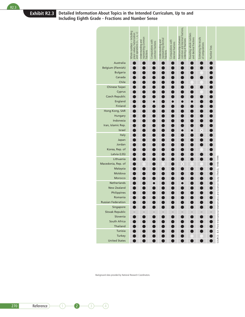#### **Exhibit R2.3 Detailed Information About Topics in the Intended Curriculum, Up to and Including Eighth Grade - Fractions and Number Sense**

|                                   | Whole numbers - including<br>place values, factorization<br>and operations (+, --, x, +) | representing common<br>Understanding and<br>fractions | Computations with<br>common fractions | representing decimal<br>Understanding and<br>fractions | Computations with<br>decimal fractions | Relationships between<br>common and decimal fractions,<br>ordering of fractions | Rounding whole numbers<br>and decimal fractions | Estimating the results<br>of computations | Number lines |                                                                                   |
|-----------------------------------|------------------------------------------------------------------------------------------|-------------------------------------------------------|---------------------------------------|--------------------------------------------------------|----------------------------------------|---------------------------------------------------------------------------------|-------------------------------------------------|-------------------------------------------|--------------|-----------------------------------------------------------------------------------|
| Australia                         |                                                                                          |                                                       |                                       |                                                        |                                        |                                                                                 |                                                 |                                           |              |                                                                                   |
| Belgium (Flemish)                 |                                                                                          |                                                       |                                       |                                                        |                                        |                                                                                 |                                                 |                                           |              |                                                                                   |
| <b>Bulgaria</b>                   |                                                                                          |                                                       |                                       |                                                        |                                        |                                                                                 |                                                 |                                           |              |                                                                                   |
| Canada                            |                                                                                          |                                                       |                                       |                                                        |                                        |                                                                                 |                                                 |                                           |              |                                                                                   |
| Chile                             |                                                                                          |                                                       |                                       |                                                        |                                        |                                                                                 |                                                 |                                           |              |                                                                                   |
| Chinese Taipei                    |                                                                                          |                                                       |                                       |                                                        |                                        |                                                                                 |                                                 |                                           |              |                                                                                   |
| Cyprus                            |                                                                                          |                                                       |                                       |                                                        |                                        |                                                                                 |                                                 |                                           |              |                                                                                   |
| <b>Czech Republic</b>             |                                                                                          |                                                       |                                       |                                                        |                                        |                                                                                 |                                                 |                                           |              |                                                                                   |
| England<br>Finland                |                                                                                          |                                                       |                                       |                                                        |                                        |                                                                                 |                                                 |                                           |              |                                                                                   |
| Hong Kong, SAR                    |                                                                                          |                                                       |                                       |                                                        |                                        |                                                                                 |                                                 |                                           |              |                                                                                   |
| Hungary                           |                                                                                          |                                                       |                                       |                                                        |                                        |                                                                                 |                                                 |                                           |              |                                                                                   |
| Indonesia                         |                                                                                          |                                                       |                                       |                                                        |                                        |                                                                                 |                                                 |                                           |              |                                                                                   |
| Iran, Islamic Rep.                |                                                                                          |                                                       |                                       |                                                        |                                        |                                                                                 |                                                 |                                           |              |                                                                                   |
| Israel                            |                                                                                          |                                                       |                                       |                                                        |                                        |                                                                                 |                                                 | $\bullet$                                 |              |                                                                                   |
| Italy                             |                                                                                          |                                                       |                                       |                                                        |                                        |                                                                                 |                                                 |                                           |              |                                                                                   |
| Japan                             |                                                                                          |                                                       |                                       |                                                        |                                        |                                                                                 |                                                 |                                           |              |                                                                                   |
| Jordan                            |                                                                                          |                                                       |                                       |                                                        |                                        |                                                                                 |                                                 |                                           |              |                                                                                   |
| Korea, Rep. of                    |                                                                                          |                                                       |                                       |                                                        |                                        |                                                                                 |                                                 |                                           |              |                                                                                   |
| Latvia (LSS)                      |                                                                                          |                                                       |                                       |                                                        |                                        |                                                                                 |                                                 |                                           |              |                                                                                   |
| Lithuania                         |                                                                                          |                                                       |                                       |                                                        |                                        |                                                                                 |                                                 |                                           |              |                                                                                   |
| Macedonia, Rep. of                |                                                                                          | $\bullet$                                             |                                       | $\cdot$                                                |                                        | $\bullet$                                                                       | $\cdot$                                         |                                           |              |                                                                                   |
| Malaysia                          |                                                                                          |                                                       |                                       |                                                        |                                        |                                                                                 |                                                 |                                           |              |                                                                                   |
| Moldova                           |                                                                                          |                                                       |                                       |                                                        |                                        |                                                                                 |                                                 |                                           |              |                                                                                   |
| Morocco                           |                                                                                          |                                                       |                                       |                                                        |                                        |                                                                                 |                                                 |                                           |              |                                                                                   |
| Netherlands<br><b>New Zealand</b> |                                                                                          |                                                       |                                       |                                                        |                                        |                                                                                 |                                                 |                                           |              |                                                                                   |
| Philippines                       |                                                                                          |                                                       |                                       |                                                        |                                        |                                                                                 |                                                 |                                           |              |                                                                                   |
| Romania                           |                                                                                          |                                                       |                                       |                                                        |                                        |                                                                                 |                                                 |                                           |              |                                                                                   |
| <b>Russian Federation</b>         |                                                                                          |                                                       |                                       |                                                        |                                        |                                                                                 |                                                 |                                           |              |                                                                                   |
| Singapore                         |                                                                                          |                                                       |                                       |                                                        |                                        |                                                                                 |                                                 |                                           |              |                                                                                   |
| Slovak Republic                   |                                                                                          |                                                       |                                       |                                                        |                                        |                                                                                 |                                                 |                                           |              | SOURCE: IEA Third International Mathematics and Science Study (TIMSS), 1998-1999. |
| Slovenia                          |                                                                                          |                                                       |                                       |                                                        |                                        |                                                                                 |                                                 |                                           |              |                                                                                   |
| South Africa                      |                                                                                          |                                                       |                                       |                                                        |                                        |                                                                                 |                                                 |                                           |              |                                                                                   |
| Thailand                          |                                                                                          |                                                       |                                       |                                                        |                                        |                                                                                 |                                                 |                                           |              |                                                                                   |
| Tunisia                           |                                                                                          |                                                       |                                       |                                                        |                                        |                                                                                 |                                                 |                                           |              |                                                                                   |
| Turkey                            |                                                                                          |                                                       |                                       |                                                        |                                        |                                                                                 |                                                 |                                           |              |                                                                                   |
| <b>United States</b>              |                                                                                          |                                                       |                                       |                                                        |                                        |                                                                                 |                                                 |                                           |              |                                                                                   |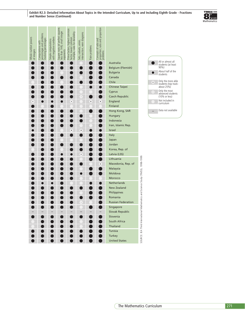**Exhibit R2.3: Detailed Information About Topics in the Intended Curriculum, Up to and Including Eighth Grade - Fractions and Number Sense (Continued)**



| Whole number powers<br>of integers | Computations with<br>percentages and problems<br>involving percentages | with negative numbers<br>Simple computations | Square roots (of perfect squares<br>less than 144), small integer<br>exponents | Prime factors, highest common<br>factor, lowest common<br>multiple, rules for divisibility | Sets, subsets, union,<br>intersection, venn diagrams | Rate problems | Concepts of ratio and<br>proportion; ratio and proportion<br>problems |                                                                                                                                                                                                                                                                                                                                                                                                                                                                                                                                                                 |                                                                                   |                             |                                                                                                                                                                                                                                                            |  |     |
|------------------------------------|------------------------------------------------------------------------|----------------------------------------------|--------------------------------------------------------------------------------|--------------------------------------------------------------------------------------------|------------------------------------------------------|---------------|-----------------------------------------------------------------------|-----------------------------------------------------------------------------------------------------------------------------------------------------------------------------------------------------------------------------------------------------------------------------------------------------------------------------------------------------------------------------------------------------------------------------------------------------------------------------------------------------------------------------------------------------------------|-----------------------------------------------------------------------------------|-----------------------------|------------------------------------------------------------------------------------------------------------------------------------------------------------------------------------------------------------------------------------------------------------|--|-----|
|                                    |                                                                        |                                              |                                                                                |                                                                                            | $\bullet$                                            |               | $\bullet$<br>$\bullet$                                                | Australia<br>Belgium (Flemish)<br>Bulgaria<br>Canada<br>Chile<br>Chinese Taipei<br>Cyprus<br>Czech Republic<br>England<br>Finland<br>Hong Kong, SAR<br>Hungary<br>Indonesia<br>Iran, Islamic Rep.<br>Israel<br>Italy<br>Japan<br>Jordan<br>Korea, Rep. of<br>Latvia (LSS)<br>Lithuania<br>Macedonia, Rep. of<br>Malaysia<br>Moldova<br>Morocco<br>Netherlands<br><b>New Zealand</b><br>Philippines<br>Romania<br><b>Russian Federation</b><br>Singapore<br>Slovak Republic<br>Slovenia<br>South Africa<br>Thailand<br>Tunisia<br>Turkey<br><b>United States</b> | SOURCE: IEA Third International Mathematics and Science Study (TIMSS), 1998-1999. | ●<br>$\bullet$<br>$\cdot$ ) | All or almost all<br>students (at least<br>90%)<br>About half of the<br>students<br>Only the more able<br>students (top track-<br>about 25%)<br>Only the most<br>advanced students<br>(10% or less)<br>Not included in<br>curriculum<br>Data not available |  |     |
|                                    |                                                                        |                                              |                                                                                |                                                                                            |                                                      |               |                                                                       | The Mathematics Curriculum                                                                                                                                                                                                                                                                                                                                                                                                                                                                                                                                      |                                                                                   |                             |                                                                                                                                                                                                                                                            |  | 271 |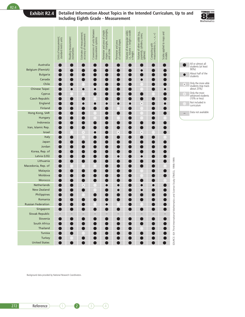#### **Exhibit R2.4 Detailed Information About Topics in the Intended Curriculum, Up to and Including Eighth Grade - Measurement**



All or almost all students (at least 90%)

About half of the students

Only the more able students (top track-about 25%)

Only the most advanced students (10% or less)

Not included in curriculum Data not available

–

D

 $\bullet$ 

 $\bullet$ 

|                             | Units of measurement;<br>standard metric units | Reading measurement<br>instruments | Estimates of measurement;<br>accuracy of measurement | Conversions of units between<br>measurement systems | Perimeter and area of simple<br>shapes – triangles, rectangles,<br>and circles | Perimeter and area<br>of combined shapes | Volume of rectangular solids<br>i.e., Volume = length x width<br>x height | Volume of other solids (e.g.,<br>pyramids, cylinders, cones,<br>spheres) | measurements $(+, -, x, +)$<br>Computing with | Scales applied to maps and<br>models |                                                |
|-----------------------------|------------------------------------------------|------------------------------------|------------------------------------------------------|-----------------------------------------------------|--------------------------------------------------------------------------------|------------------------------------------|---------------------------------------------------------------------------|--------------------------------------------------------------------------|-----------------------------------------------|--------------------------------------|------------------------------------------------|
| Australia                   |                                                |                                    |                                                      |                                                     |                                                                                |                                          |                                                                           |                                                                          |                                               |                                      |                                                |
| Belgium (Flemish)           |                                                |                                    |                                                      |                                                     |                                                                                |                                          |                                                                           | $\bullet$                                                                |                                               |                                      |                                                |
| <b>Bulgaria</b>             |                                                |                                    |                                                      |                                                     |                                                                                |                                          |                                                                           |                                                                          |                                               | 0                                    |                                                |
| Canada                      |                                                |                                    |                                                      |                                                     |                                                                                |                                          |                                                                           | 0                                                                        |                                               | ۰                                    |                                                |
| Chile                       |                                                |                                    |                                                      |                                                     |                                                                                |                                          |                                                                           |                                                                          |                                               |                                      |                                                |
| Chinese Taipei              |                                                | O                                  | 0                                                    | $\bullet$                                           |                                                                                |                                          |                                                                           |                                                                          |                                               | $\bullet$                            |                                                |
| Cyprus                      |                                                |                                    |                                                      |                                                     |                                                                                |                                          |                                                                           |                                                                          |                                               |                                      |                                                |
| <b>Czech Republic</b>       |                                                |                                    |                                                      |                                                     |                                                                                |                                          |                                                                           |                                                                          |                                               | ۰                                    |                                                |
| England                     |                                                |                                    | 0                                                    | Œ                                                   | $\bullet$                                                                      | 0                                        | $\bullet$                                                                 | $\bullet$                                                                |                                               | $\bullet$                            |                                                |
| Finland                     |                                                |                                    |                                                      |                                                     |                                                                                |                                          |                                                                           |                                                                          |                                               |                                      |                                                |
| Hong Kong, SAR              |                                                |                                    |                                                      |                                                     |                                                                                |                                          |                                                                           |                                                                          |                                               |                                      |                                                |
| Hungary                     |                                                |                                    |                                                      |                                                     |                                                                                |                                          |                                                                           |                                                                          |                                               |                                      |                                                |
| Indonesia                   |                                                |                                    |                                                      |                                                     |                                                                                |                                          |                                                                           |                                                                          |                                               |                                      |                                                |
| Iran, Islamic Rep.          |                                                |                                    |                                                      |                                                     |                                                                                |                                          |                                                                           |                                                                          |                                               |                                      |                                                |
| <b>Israel</b>               |                                                |                                    | $\ddot{\phantom{0}}$                                 | $\bullet$                                           |                                                                                | $\bullet$                                |                                                                           | $\bullet$                                                                |                                               |                                      |                                                |
| <b>Italy</b>                |                                                |                                    |                                                      |                                                     |                                                                                |                                          |                                                                           |                                                                          |                                               |                                      |                                                |
| Japan                       |                                                |                                    |                                                      |                                                     |                                                                                |                                          |                                                                           |                                                                          |                                               |                                      |                                                |
| Jordan                      |                                                |                                    |                                                      |                                                     |                                                                                |                                          |                                                                           |                                                                          |                                               |                                      |                                                |
| Korea, Rep. of              |                                                |                                    |                                                      |                                                     |                                                                                |                                          |                                                                           |                                                                          |                                               | ●                                    |                                                |
| Latvia (LSS)                |                                                |                                    |                                                      |                                                     |                                                                                | $\bullet$                                |                                                                           | 0                                                                        |                                               |                                      |                                                |
| Lithuania                   |                                                |                                    |                                                      |                                                     |                                                                                |                                          |                                                                           |                                                                          |                                               |                                      |                                                |
| Macedonia, Rep. of          |                                                |                                    |                                                      |                                                     |                                                                                |                                          |                                                                           |                                                                          |                                               |                                      |                                                |
| Malaysia                    |                                                |                                    |                                                      |                                                     |                                                                                |                                          |                                                                           |                                                                          |                                               |                                      |                                                |
| Moldova                     |                                                |                                    |                                                      |                                                     |                                                                                |                                          |                                                                           |                                                                          |                                               |                                      |                                                |
| Morocco                     |                                                |                                    |                                                      |                                                     |                                                                                |                                          |                                                                           |                                                                          |                                               |                                      |                                                |
| Netherlands                 |                                                |                                    | $\bullet$                                            |                                                     | $\bullet$                                                                      | $\bullet$                                |                                                                           | $\bullet$                                                                | $\bullet$                                     |                                      | nematics and Science Study (TIMSS), 1998-1999. |
| <b>New Zealand</b>          |                                                |                                    |                                                      |                                                     |                                                                                | 0                                        |                                                                           | 0                                                                        |                                               |                                      |                                                |
| Philippines                 |                                                |                                    |                                                      |                                                     |                                                                                |                                          |                                                                           |                                                                          |                                               |                                      |                                                |
| Romania                     |                                                |                                    |                                                      |                                                     |                                                                                |                                          |                                                                           |                                                                          |                                               |                                      |                                                |
| <b>Russian Federation</b>   |                                                |                                    |                                                      |                                                     | $\bullet$                                                                      |                                          |                                                                           |                                                                          |                                               |                                      |                                                |
| Singapore                   |                                                |                                    |                                                      |                                                     |                                                                                |                                          |                                                                           |                                                                          |                                               |                                      |                                                |
| Slovak Republic<br>Slovenia |                                                |                                    |                                                      |                                                     |                                                                                |                                          |                                                                           |                                                                          |                                               |                                      |                                                |
| South Africa                | D                                              |                                    |                                                      |                                                     |                                                                                |                                          |                                                                           |                                                                          |                                               |                                      |                                                |
| Thailand                    |                                                |                                    |                                                      |                                                     |                                                                                |                                          |                                                                           |                                                                          |                                               |                                      |                                                |
| Tunisia                     | $\bullet$                                      |                                    |                                                      |                                                     | ۰                                                                              |                                          |                                                                           |                                                                          |                                               |                                      | SOURCE: IEA Third International Mat            |
| Turkey                      |                                                |                                    |                                                      |                                                     |                                                                                |                                          |                                                                           |                                                                          |                                               |                                      |                                                |
| <b>United States</b>        |                                                |                                    |                                                      |                                                     | n                                                                              |                                          |                                                                           |                                                                          |                                               |                                      |                                                |
|                             |                                                |                                    |                                                      |                                                     |                                                                                |                                          |                                                                           |                                                                          |                                               |                                      |                                                |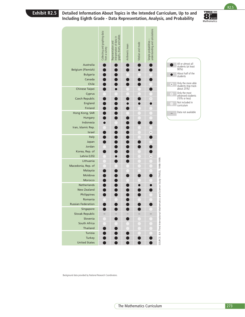### **Exhibit R2.5 Detailed Information About Topics in the Intended Curriculum, Up to and Including Eighth Grade - Data Representation, Analysis, and Probability**



 $R2.5$ 

|                           | Collecting and graphing data<br>from a survey                                                                                                                                                                                                                                                   | Representation and<br>interpretation of data in<br>graphs, charts, and tables | Arithmetic mean | Median and mode | Simple probabilities -<br>understanding and calculations |                                                                                   |
|---------------------------|-------------------------------------------------------------------------------------------------------------------------------------------------------------------------------------------------------------------------------------------------------------------------------------------------|-------------------------------------------------------------------------------|-----------------|-----------------|----------------------------------------------------------|-----------------------------------------------------------------------------------|
| Australia                 |                                                                                                                                                                                                                                                                                                 |                                                                               |                 |                 |                                                          | All or almost all<br>students (at least                                           |
| Belgium (Flemish)         |                                                                                                                                                                                                                                                                                                 |                                                                               |                 |                 |                                                          | 90%)                                                                              |
| <b>Bulgaria</b>           |                                                                                                                                                                                                                                                                                                 |                                                                               |                 |                 |                                                          | About half of the<br>$\bullet$<br>students                                        |
| Canada                    |                                                                                                                                                                                                                                                                                                 |                                                                               |                 |                 |                                                          |                                                                                   |
|                           |                                                                                                                                                                                                                                                                                                 |                                                                               |                 |                 |                                                          | Only the more able<br>students (top track-<br>about 25%)<br>$\bullet$             |
|                           |                                                                                                                                                                                                                                                                                                 |                                                                               |                 |                 |                                                          | Only the most                                                                     |
|                           |                                                                                                                                                                                                                                                                                                 |                                                                               |                 |                 |                                                          | $\cdot$<br>advanced students                                                      |
|                           |                                                                                                                                                                                                                                                                                                 |                                                                               |                 |                 |                                                          | (10% or less)<br>Not included in                                                  |
|                           |                                                                                                                                                                                                                                                                                                 |                                                                               |                 |                 |                                                          | curriculum                                                                        |
|                           |                                                                                                                                                                                                                                                                                                 |                                                                               |                 |                 |                                                          | Data not available                                                                |
|                           |                                                                                                                                                                                                                                                                                                 |                                                                               |                 |                 |                                                          |                                                                                   |
| Indonesia                 |                                                                                                                                                                                                                                                                                                 |                                                                               |                 |                 |                                                          |                                                                                   |
| Iran, Islamic Rep.        |                                                                                                                                                                                                                                                                                                 |                                                                               |                 |                 |                                                          |                                                                                   |
| Israel                    |                                                                                                                                                                                                                                                                                                 |                                                                               |                 |                 | $\bullet$                                                |                                                                                   |
| Italy                     |                                                                                                                                                                                                                                                                                                 |                                                                               |                 |                 |                                                          |                                                                                   |
| Japan                     |                                                                                                                                                                                                                                                                                                 |                                                                               |                 |                 |                                                          |                                                                                   |
| Jordan                    |                                                                                                                                                                                                                                                                                                 |                                                                               |                 |                 |                                                          |                                                                                   |
| Korea, Rep. of            |                                                                                                                                                                                                                                                                                                 |                                                                               |                 |                 |                                                          |                                                                                   |
| Latvia (LSS)              |                                                                                                                                                                                                                                                                                                 |                                                                               |                 |                 | ٠                                                        |                                                                                   |
|                           |                                                                                                                                                                                                                                                                                                 |                                                                               |                 |                 |                                                          |                                                                                   |
|                           |                                                                                                                                                                                                                                                                                                 |                                                                               |                 |                 |                                                          |                                                                                   |
|                           |                                                                                                                                                                                                                                                                                                 |                                                                               |                 |                 |                                                          |                                                                                   |
|                           |                                                                                                                                                                                                                                                                                                 |                                                                               |                 |                 |                                                          |                                                                                   |
|                           |                                                                                                                                                                                                                                                                                                 |                                                                               |                 |                 |                                                          |                                                                                   |
|                           |                                                                                                                                                                                                                                                                                                 |                                                                               |                 |                 |                                                          |                                                                                   |
|                           |                                                                                                                                                                                                                                                                                                 |                                                                               |                 |                 |                                                          |                                                                                   |
| Romania                   |                                                                                                                                                                                                                                                                                                 |                                                                               |                 |                 |                                                          |                                                                                   |
| <b>Russian Federation</b> |                                                                                                                                                                                                                                                                                                 |                                                                               |                 |                 |                                                          |                                                                                   |
| Singapore                 |                                                                                                                                                                                                                                                                                                 |                                                                               |                 |                 |                                                          |                                                                                   |
| Slovak Republic           |                                                                                                                                                                                                                                                                                                 |                                                                               |                 |                 |                                                          |                                                                                   |
| Slovenia                  |                                                                                                                                                                                                                                                                                                 |                                                                               |                 |                 |                                                          |                                                                                   |
| South Africa              |                                                                                                                                                                                                                                                                                                 |                                                                               |                 |                 |                                                          |                                                                                   |
|                           |                                                                                                                                                                                                                                                                                                 |                                                                               |                 |                 |                                                          | SOURCE: IEA Third International Mathematics and Science Study (TIMSS), 1998-1999. |
|                           |                                                                                                                                                                                                                                                                                                 |                                                                               |                 |                 |                                                          |                                                                                   |
|                           |                                                                                                                                                                                                                                                                                                 |                                                                               |                 |                 |                                                          |                                                                                   |
|                           | Chile<br>Chinese Taipei<br>Cyprus<br><b>Czech Republic</b><br>England<br>Finland<br>Hong Kong, SAR<br>Hungary<br>Lithuania<br>Macedonia, Rep. of<br>Malaysia<br>Moldova<br>Morocco<br>Netherlands<br><b>New Zealand</b><br>Philippines<br>Thailand<br>Tunisia<br>Turkey<br><b>United States</b> |                                                                               |                 |                 |                                                          | $\cdot$                                                                           |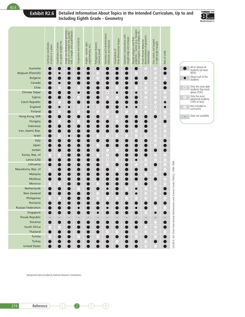#### **Exhibit R2.6 Detailed Information About Topics in the Intended Curriculum, Up to and Including Eighth Grade - Geometry**



All or almost all students (at least 90%)

About half of the students

Only the more able students (top track-about 25%)

Only the most advanced students (10% or less)

Not included in curriculum

Data not available

|                           | Cartesian coordinates<br>of points in a plane | on a given straight line<br>Coordinates of points | $\mathbf{I}$<br>Simple two dimensional geometry<br>angles on a straight line, parallel<br>lines, triangles and quadrilaterals | Congruence and similarity | Angles – (acute, right,<br>supplementary, etc.) | Pythagorean theorem<br>(without proof) | Symmetry and transformations<br>(reflection and rotation) | three-dimensional shapes<br>Visualization of | Geometric constructions with<br>straight-edge and compass | properties – names (e.g., hexagon<br>and octagon), sum of angles, etc.<br>Regular polygons and their | Proofs (formal deductive<br>demonstrations of geometric<br>relationships) | Sine, cosine, and tangent<br>in right-angle triangles | Nets of solids       |                                                                                   |                          |
|---------------------------|-----------------------------------------------|---------------------------------------------------|-------------------------------------------------------------------------------------------------------------------------------|---------------------------|-------------------------------------------------|----------------------------------------|-----------------------------------------------------------|----------------------------------------------|-----------------------------------------------------------|------------------------------------------------------------------------------------------------------|---------------------------------------------------------------------------|-------------------------------------------------------|----------------------|-----------------------------------------------------------------------------------|--------------------------|
| Australia                 |                                               |                                                   |                                                                                                                               |                           |                                                 |                                        |                                                           |                                              |                                                           |                                                                                                      |                                                                           |                                                       |                      |                                                                                   |                          |
| Belgium (Flemish)         |                                               |                                                   |                                                                                                                               |                           |                                                 |                                        |                                                           |                                              |                                                           |                                                                                                      | $\bullet$                                                                 |                                                       |                      |                                                                                   |                          |
| <b>Bulgaria</b>           |                                               |                                                   |                                                                                                                               |                           |                                                 |                                        |                                                           |                                              |                                                           |                                                                                                      |                                                                           |                                                       |                      |                                                                                   | Ċ                        |
| Canada                    |                                               | O                                                 |                                                                                                                               |                           |                                                 |                                        |                                                           |                                              |                                                           |                                                                                                      |                                                                           |                                                       |                      |                                                                                   |                          |
| Chile                     |                                               |                                                   |                                                                                                                               |                           |                                                 |                                        |                                                           |                                              |                                                           |                                                                                                      |                                                                           |                                                       |                      |                                                                                   | $\bullet$                |
| Chinese Taipei            |                                               |                                                   |                                                                                                                               | 0                         |                                                 |                                        | $\bullet$                                                 | 0                                            |                                                           |                                                                                                      |                                                                           |                                                       |                      |                                                                                   |                          |
| Cyprus                    |                                               |                                                   |                                                                                                                               |                           |                                                 |                                        |                                                           |                                              |                                                           |                                                                                                      |                                                                           |                                                       |                      |                                                                                   | G                        |
| <b>Czech Republic</b>     |                                               |                                                   |                                                                                                                               |                           |                                                 |                                        |                                                           |                                              |                                                           |                                                                                                      | $\bullet$                                                                 |                                                       | 0                    |                                                                                   |                          |
| England                   |                                               |                                                   |                                                                                                                               | ٠                         | 0                                               | $\bullet$                              |                                                           |                                              | 0                                                         | Œ                                                                                                    |                                                                           | $\bullet$                                             | O                    |                                                                                   |                          |
| Finland                   |                                               |                                                   |                                                                                                                               |                           |                                                 |                                        |                                                           |                                              |                                                           |                                                                                                      |                                                                           |                                                       |                      |                                                                                   |                          |
| Hong Kong, SAR            |                                               |                                                   |                                                                                                                               |                           |                                                 |                                        |                                                           |                                              |                                                           |                                                                                                      |                                                                           |                                                       |                      |                                                                                   | $\overline{\phantom{0}}$ |
| Hungary                   |                                               |                                                   |                                                                                                                               |                           |                                                 |                                        |                                                           |                                              |                                                           |                                                                                                      |                                                                           |                                                       |                      |                                                                                   |                          |
| Indonesia                 |                                               |                                                   |                                                                                                                               |                           |                                                 |                                        |                                                           |                                              |                                                           |                                                                                                      |                                                                           |                                                       |                      |                                                                                   |                          |
|                           |                                               |                                                   |                                                                                                                               |                           |                                                 |                                        |                                                           |                                              |                                                           |                                                                                                      |                                                                           |                                                       |                      |                                                                                   |                          |
| Iran, Islamic Rep.        |                                               |                                                   |                                                                                                                               |                           |                                                 |                                        |                                                           |                                              |                                                           |                                                                                                      |                                                                           |                                                       |                      |                                                                                   |                          |
| Israel                    |                                               | $\bullet$                                         |                                                                                                                               |                           |                                                 |                                        | $\bullet$                                                 | $\bullet$                                    |                                                           |                                                                                                      | $\bullet$                                                                 |                                                       | $\ddot{\phantom{0}}$ |                                                                                   |                          |
| Italy                     |                                               |                                                   |                                                                                                                               |                           |                                                 |                                        |                                                           |                                              |                                                           |                                                                                                      |                                                                           |                                                       |                      |                                                                                   |                          |
| Japan                     |                                               |                                                   |                                                                                                                               |                           |                                                 |                                        |                                                           |                                              |                                                           |                                                                                                      |                                                                           |                                                       |                      |                                                                                   |                          |
| Jordan                    |                                               |                                                   |                                                                                                                               |                           |                                                 |                                        |                                                           |                                              |                                                           |                                                                                                      |                                                                           |                                                       |                      |                                                                                   |                          |
| Korea, Rep. of            |                                               |                                                   |                                                                                                                               |                           |                                                 |                                        |                                                           |                                              |                                                           |                                                                                                      |                                                                           |                                                       |                      |                                                                                   |                          |
| Latvia (LSS)              |                                               |                                                   |                                                                                                                               |                           |                                                 |                                        | ٠                                                         |                                              |                                                           | ۰                                                                                                    |                                                                           |                                                       |                      |                                                                                   |                          |
| Lithuania                 |                                               |                                                   |                                                                                                                               |                           |                                                 |                                        |                                                           |                                              |                                                           |                                                                                                      |                                                                           |                                                       |                      |                                                                                   |                          |
| Macedonia, Rep. of        | $\bullet$                                     |                                                   |                                                                                                                               |                           |                                                 |                                        |                                                           |                                              |                                                           |                                                                                                      |                                                                           |                                                       |                      |                                                                                   |                          |
| Malaysia                  |                                               |                                                   |                                                                                                                               |                           |                                                 |                                        |                                                           |                                              |                                                           |                                                                                                      |                                                                           |                                                       |                      |                                                                                   |                          |
| Moldova                   |                                               |                                                   |                                                                                                                               |                           |                                                 |                                        |                                                           |                                              |                                                           |                                                                                                      |                                                                           |                                                       |                      |                                                                                   |                          |
| Morocco                   |                                               |                                                   |                                                                                                                               |                           |                                                 |                                        |                                                           |                                              |                                                           |                                                                                                      |                                                                           |                                                       |                      |                                                                                   |                          |
| <b>Netherlands</b>        |                                               |                                                   |                                                                                                                               |                           |                                                 |                                        | $\bullet$                                                 |                                              |                                                           | c                                                                                                    |                                                                           |                                                       |                      |                                                                                   |                          |
| <b>New Zealand</b>        |                                               |                                                   |                                                                                                                               |                           |                                                 |                                        |                                                           |                                              |                                                           |                                                                                                      |                                                                           |                                                       |                      |                                                                                   |                          |
| Philippines               |                                               |                                                   |                                                                                                                               |                           |                                                 |                                        |                                                           |                                              |                                                           |                                                                                                      |                                                                           |                                                       |                      |                                                                                   |                          |
| Romania                   |                                               |                                                   |                                                                                                                               |                           |                                                 |                                        |                                                           |                                              |                                                           |                                                                                                      |                                                                           |                                                       |                      |                                                                                   |                          |
| <b>Russian Federation</b> |                                               |                                                   |                                                                                                                               |                           |                                                 |                                        |                                                           |                                              |                                                           |                                                                                                      |                                                                           |                                                       |                      |                                                                                   |                          |
| Singapore                 |                                               |                                                   |                                                                                                                               |                           |                                                 |                                        |                                                           |                                              |                                                           |                                                                                                      |                                                                           |                                                       |                      |                                                                                   |                          |
| Slovak Republic           |                                               |                                                   |                                                                                                                               |                           |                                                 |                                        |                                                           |                                              |                                                           |                                                                                                      |                                                                           |                                                       |                      | SOURCE: IEA Third International Mathematics and Science Study (TIMSS), 1998-1999. |                          |
| Slovenia                  |                                               |                                                   |                                                                                                                               |                           |                                                 |                                        |                                                           |                                              |                                                           |                                                                                                      |                                                                           |                                                       |                      |                                                                                   |                          |
| South Africa              |                                               |                                                   |                                                                                                                               |                           |                                                 |                                        |                                                           |                                              |                                                           |                                                                                                      |                                                                           |                                                       |                      |                                                                                   |                          |
| Thailand                  |                                               |                                                   |                                                                                                                               |                           |                                                 |                                        |                                                           |                                              |                                                           |                                                                                                      |                                                                           |                                                       |                      |                                                                                   |                          |
| Tunisia                   |                                               |                                                   |                                                                                                                               |                           |                                                 |                                        |                                                           |                                              |                                                           |                                                                                                      |                                                                           |                                                       |                      |                                                                                   |                          |
| Turkey                    |                                               |                                                   |                                                                                                                               |                           |                                                 |                                        |                                                           |                                              |                                                           |                                                                                                      |                                                                           |                                                       |                      |                                                                                   |                          |
| <b>United States</b>      |                                               |                                                   |                                                                                                                               |                           |                                                 |                                        |                                                           |                                              |                                                           |                                                                                                      | $\ddot{\phantom{0}}$                                                      |                                                       |                      |                                                                                   |                          |
|                           |                                               |                                                   |                                                                                                                               |                           |                                                 |                                        |                                                           |                                              |                                                           |                                                                                                      |                                                                           |                                                       |                      |                                                                                   |                          |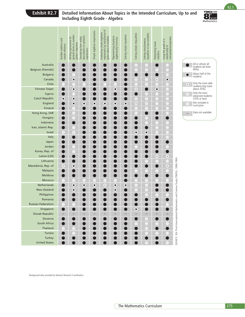## **Exhibit R2.7 Detailed Information About Topics in the Intended Curriculum, Up to and Including Eighth Grade - Algebra**



 $R2.7$ 

|                                                             | Number patterns and<br>simple relations | Writing expressions for<br>general terms in number<br>pattern sequence<br>Translating from verbal<br>descriptions to symbolic<br>expressions | Simple algebraic expressions | Evaluating simple algebraic<br>expressions by substitution of<br>given value of variables | Representing situations<br>algebraically; formulas | Solving simple equations | Solving simple inequalities | Solving simultaneous<br>equations in two variables | Interpreting linear<br>relations | Using the graph of a<br>relationship to<br>interpolate/extrapolate |                                                                                   |           |                                                          |     |
|-------------------------------------------------------------|-----------------------------------------|----------------------------------------------------------------------------------------------------------------------------------------------|------------------------------|-------------------------------------------------------------------------------------------|----------------------------------------------------|--------------------------|-----------------------------|----------------------------------------------------|----------------------------------|--------------------------------------------------------------------|-----------------------------------------------------------------------------------|-----------|----------------------------------------------------------|-----|
| Australia                                                   |                                         |                                                                                                                                              |                              |                                                                                           |                                                    |                          |                             |                                                    |                                  |                                                                    |                                                                                   |           | All or almost all<br>students (at least                  |     |
| Belgium (Flemish)<br><b>Bulgaria</b>                        |                                         |                                                                                                                                              |                              |                                                                                           |                                                    |                          |                             |                                                    |                                  |                                                                    |                                                                                   | $\bullet$ | $90\%$ )<br>About half of the                            |     |
| Canada                                                      |                                         | $\bullet$                                                                                                                                    |                              |                                                                                           |                                                    |                          | $\cdot$                     |                                                    | $\bullet$                        | $\bullet$                                                          |                                                                                   |           | students                                                 |     |
| Chile                                                       |                                         |                                                                                                                                              |                              |                                                                                           |                                                    |                          |                             |                                                    |                                  |                                                                    |                                                                                   | $\bullet$ | Only the more able<br>students (top track-<br>about 25%) |     |
| Chinese Taipei<br>Cyprus                                    |                                         | $\bullet$                                                                                                                                    |                              |                                                                                           | $\bullet$                                          |                          | $\bullet$                   |                                                    | $\bullet$                        |                                                                    |                                                                                   | $\cdot$ ) |                                                          |     |
| <b>Czech Republic</b>                                       | $\bullet$                               | $\bullet$                                                                                                                                    |                              |                                                                                           |                                                    |                          | $\cdot$                     |                                                    |                                  |                                                                    |                                                                                   |           | Only the most<br>advanced students<br>(10% or less)      |     |
| England                                                     |                                         | $\bullet$<br>$\bullet$                                                                                                                       | $\bullet$                    | $\bullet$                                                                                 | $\bullet$                                          | $\bullet$                | $\bullet$                   | $\cdot$ .                                          |                                  |                                                                    |                                                                                   |           | Not included in<br>curriculum                            |     |
| Finland                                                     |                                         |                                                                                                                                              |                              |                                                                                           |                                                    |                          |                             |                                                    |                                  |                                                                    |                                                                                   |           |                                                          |     |
| Hong Kong, SAR<br>Hungary                                   |                                         |                                                                                                                                              |                              |                                                                                           |                                                    |                          |                             |                                                    |                                  |                                                                    |                                                                                   |           | Data not available                                       |     |
| Indonesia                                                   |                                         |                                                                                                                                              |                              |                                                                                           |                                                    |                          |                             |                                                    |                                  |                                                                    |                                                                                   |           |                                                          |     |
| Iran, Islamic Rep.                                          |                                         |                                                                                                                                              |                              |                                                                                           |                                                    |                          |                             |                                                    |                                  |                                                                    |                                                                                   |           |                                                          |     |
| Israel                                                      | $\cdot$                                 | $\cdot$                                                                                                                                      |                              |                                                                                           |                                                    |                          | $\bullet$                   | $\bullet$                                          | $\cdot$                          |                                                                    |                                                                                   |           |                                                          |     |
| Italy<br>Japan                                              |                                         |                                                                                                                                              |                              |                                                                                           |                                                    |                          |                             |                                                    |                                  |                                                                    |                                                                                   |           |                                                          |     |
| Jordan                                                      |                                         |                                                                                                                                              |                              |                                                                                           |                                                    |                          |                             |                                                    |                                  |                                                                    |                                                                                   |           |                                                          |     |
| Korea, Rep. of                                              |                                         |                                                                                                                                              |                              |                                                                                           |                                                    |                          |                             |                                                    |                                  |                                                                    |                                                                                   |           |                                                          |     |
| Latvia (LSS)                                                |                                         |                                                                                                                                              |                              |                                                                                           |                                                    |                          |                             |                                                    | $\bullet$                        | $\bullet$                                                          |                                                                                   |           |                                                          |     |
| Lithuania<br>Macedonia, Rep. of                             | $\bullet$                               | $\bullet$                                                                                                                                    |                              |                                                                                           |                                                    |                          |                             |                                                    |                                  | $\bullet$                                                          |                                                                                   |           |                                                          |     |
| Malaysia                                                    |                                         |                                                                                                                                              |                              |                                                                                           |                                                    |                          |                             |                                                    |                                  |                                                                    |                                                                                   |           |                                                          |     |
| Moldova                                                     |                                         |                                                                                                                                              |                              |                                                                                           |                                                    |                          |                             |                                                    |                                  |                                                                    |                                                                                   |           |                                                          |     |
| Morocco                                                     |                                         |                                                                                                                                              |                              |                                                                                           |                                                    |                          |                             |                                                    |                                  |                                                                    |                                                                                   |           |                                                          |     |
| Netherlands<br><b>New Zealand</b>                           |                                         | $\bullet$<br>$\bullet$                                                                                                                       | $\bullet$                    | $\bullet$                                                                                 | $\bullet$                                          | $\bullet$                |                             |                                                    |                                  |                                                                    |                                                                                   |           |                                                          |     |
| Philippines                                                 |                                         | $\bullet$                                                                                                                                    |                              |                                                                                           | $\bullet$                                          |                          |                             |                                                    |                                  |                                                                    |                                                                                   |           |                                                          |     |
| Romania                                                     |                                         |                                                                                                                                              |                              |                                                                                           |                                                    |                          |                             |                                                    |                                  |                                                                    |                                                                                   |           |                                                          |     |
| <b>Russian Federation</b>                                   |                                         |                                                                                                                                              |                              |                                                                                           |                                                    |                          |                             |                                                    |                                  |                                                                    |                                                                                   |           |                                                          |     |
| Singapore<br>Slovak Republic                                |                                         |                                                                                                                                              |                              |                                                                                           |                                                    |                          | $\bullet$                   |                                                    |                                  |                                                                    |                                                                                   |           |                                                          |     |
| Slovenia                                                    |                                         |                                                                                                                                              |                              |                                                                                           |                                                    |                          |                             |                                                    |                                  |                                                                    |                                                                                   |           |                                                          |     |
| South Africa                                                |                                         |                                                                                                                                              |                              |                                                                                           |                                                    |                          |                             |                                                    |                                  |                                                                    |                                                                                   |           |                                                          |     |
| Thailand                                                    |                                         |                                                                                                                                              |                              |                                                                                           |                                                    |                          |                             |                                                    |                                  |                                                                    | SOURCE: IEA Third International Mathematics and Science Study (TIMSS), 1998-1999. |           |                                                          |     |
| Tunisia                                                     |                                         |                                                                                                                                              |                              |                                                                                           |                                                    |                          |                             |                                                    |                                  |                                                                    |                                                                                   |           |                                                          |     |
| Turkey<br><b>United States</b>                              |                                         |                                                                                                                                              |                              |                                                                                           |                                                    |                          |                             |                                                    |                                  |                                                                    |                                                                                   |           |                                                          |     |
| Background data provided by National Research Coordinators. |                                         |                                                                                                                                              |                              |                                                                                           |                                                    |                          |                             |                                                    |                                  |                                                                    |                                                                                   |           |                                                          |     |
|                                                             |                                         |                                                                                                                                              |                              |                                                                                           |                                                    |                          |                             | The Mathematics Curriculum                         |                                  |                                                                    |                                                                                   |           |                                                          | 275 |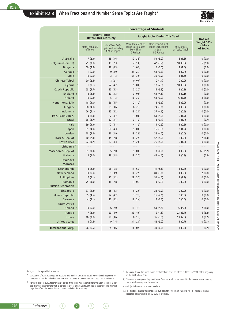

|                                   |                            |                                                       |                                                                  | <b>Percentage of Students</b>                                     |                                 |                                    |
|-----------------------------------|----------------------------|-------------------------------------------------------|------------------------------------------------------------------|-------------------------------------------------------------------|---------------------------------|------------------------------------|
|                                   |                            | <b>Taught Topics</b><br><b>Before This Year Only</b>  |                                                                  | Taught Topics During This Year <sup>1</sup>                       |                                 | <b>Not Yet</b>                     |
|                                   | More Than 80%<br>of Topics | More Than 50%<br>Up to and Including<br>80% of Topics | More Than 50% of<br>Topics Each Taught<br>More Than<br>5 Periods | More Than 50% of<br>Topics Each Taught<br>at Least<br>1-5 Periods | 50% or Less<br>of Topics Taught | Taught 50%<br>or More<br>of Topics |
| Australia                         | 7(2.3)                     | 18(3.6)                                               | 19(3.5)                                                          | 53 (5.2)                                                          | 3(1.3)                          | 0(0.0)                             |
| <b>Belgium (Flemish)</b>          | 21(3.0)                    | 19(2.3)                                               | 2(1.0)                                                           | 42 (3.7)                                                          | 10(3.6)                         | 6(2.9)                             |
| Bulgaria <sub>s</sub>             | 60 (4.8)                   | 29 (4.3)                                              | 1(0.9)                                                           | 7(2.0)                                                            | 2(1.5)                          | 1(0.9)                             |
| Canada                            | 1(0.6)                     | 9(2.0)                                                | 27(2.7)                                                          | 63(3.3)                                                           | 1(0.4)                          | 0(0.3)                             |
| Chile                             | 0(0.0)                     | 3(1.3)                                                | 57 (3.9)                                                         | 35 (3.7)                                                          | 5(1.6)                          | 0(0.0)                             |
| Chinese Taipei                    | 90(2.4)                    | 8(2.1)                                                | 0(0.0)                                                           | 2(1.1)                                                            | 0(0.0)                          | 0(0.0)                             |
| Cyprus                            | 1(1.1)                     | 72 (4.2)                                              | 1(0.0)                                                           | 17(2.9)                                                           | 10(3.3)                         | 0(0.0)                             |
| <b>Czech Republic</b>             | 53 (5.7)                   | 25(4.3)                                               | 5(2.2)                                                           | 16(3.3)                                                           | 1(0.8)                          | 0(0.0)                             |
| England s                         | 8(2.4)                     | 19(3.3)                                               | 3(0.9)                                                           | 63 (4.8)                                                          | 6(2.1)                          | 1(0.6)                             |
| Finland                           | 0(0.3)                     | 5(1.3)                                                | 13(3.3)                                                          | 63 (3.9)                                                          | 16(3.3)                         | 3(1.6)                             |
| Hong Kong, SAR                    | 18(3.0)                    | 56 (4.5)                                              | 2(1.2)                                                           | 18 (3.6)                                                          | 5(2.0)                          | 1(0.8)                             |
| Hungary                           | 38 (4.0)                   | 29 (3.6)                                              | 8(2.3)                                                           | 24(3.6)                                                           | 1(0.0)                          | 0(0.0)                             |
| Indonesia                         | 26(4.1)                    | 25 (4.2)                                              | 12(2.8)                                                          | 37 (4.6)                                                          | 0(0.5)                          | 0(0.0)                             |
| Iran, Islamic Rep.                | 3(1.3)                     | 27(4.7)                                               | 1(0.8)                                                           | 63 (5.0)                                                          | 5(1.7)                          | 0(0.0)                             |
| <b>Israel</b>                     | 38 (3.7)                   | 37(3.7)                                               | 3(1.3)                                                           | 18(3.1)                                                           | 4(1.4)                          | 1(0.7)                             |
| Italy                             | 39 (3.9)                   | 42 (4.1)                                              | 4(1.3)                                                           | 14(2.9)                                                           | 1(0.5)                          | 0(0.0)                             |
| Japan                             | 51 (4.9)                   | 30(4.3)                                               | 1(0.0)                                                           | 16(3.3)                                                           | 2(1.2)                          | 0(0.0)                             |
| Jordan                            | 18(3.3)                    | 31(3.9)                                               | 13(2.9)                                                          | 38 (4.2)                                                          | 1(0.0)                          | 0(0.0)                             |
| Korea, Rep. of                    | 10(2.4)                    | 14(2.8)                                               | 11(2.5)                                                          | 57 (4.0)                                                          | 6(2.0)                          | 2(1.3)                             |
| Latvia (LSS)                      | 22(3.7)                    | 42 (4.3)                                              | 5(2.0)                                                           | 26 (4.0)                                                          | 5(1.9)                          | 0(0.0)                             |
| Lithuania <sup>#</sup>            | $ -$                       | $ -$                                                  |                                                                  | $ -$                                                              | $- -$                           | $- -$                              |
| Macedonia, Rep. of                | 81(3.3)                    | 5(2.0)                                                | 1(0.0)                                                           | 1(0.0)                                                            | 1(0.0)                          | 12(2.7)                            |
| Malaysia                          | 8(2.0)                     | 29 (3.8)                                              | 13(2.7)                                                          | 48 (4.1)                                                          | 1(0.8)                          | 1(0.9)                             |
| Moldova<br>Morocco                | $- -$<br>$- -$             |                                                       |                                                                  | $- -$                                                             | $ -$                            | $ -$<br>$ -$                       |
|                                   |                            |                                                       |                                                                  |                                                                   |                                 |                                    |
| Netherlands<br><b>New Zealand</b> | 8(2.3)<br>0(0.0)           | 28 (5.8)<br>1(0.9)                                    | 17(6.3)<br>14 (2.9)                                              | 41 (5.8)                                                          | 5(2.7)<br>1(0.0)                | 0(0.0)<br>2(0.8)                   |
| Philippines                       | 7(2.1)                     | 15(3.2)                                               | 22(3.7)                                                          | 83(3.1)<br>52 (4.2)                                               | 3(1.3)                          | 0(0.0)                             |
| Romania                           | 75 (3.9)                   | 11(2.8)                                               | 1(0.7)                                                           | 13(2.9)                                                           | 0(0.0)                          | 0(0.0)                             |
| <b>Russian Federation</b>         |                            |                                                       |                                                                  |                                                                   |                                 |                                    |
| Singapore                         | 37(4.2)                    | 35(4.3)                                               | 6(2.0)                                                           | 22(3.7)                                                           | 0(0.0)                          | 0(0.0)                             |
| <b>Slovak Republic</b>            | 55 (4.5)                   | 22(4.2)                                               | 7(2.7)                                                           | 16(2.6)                                                           | 0(0.0)                          | 0(0.0)                             |
| Slovenia                          | 44 (4.1)                   | 27(4.2)                                               | 11(2.4)                                                          | 17(3.1)                                                           | 0(0.0)                          | 0(0.0)                             |
| South Africa                      | $=$ $-$                    | $-$                                                   |                                                                  | $-$                                                               | $=$ $-$                         | $- -$                              |
| Finland s                         | 0(0.0)                     | 6(2.0)                                                | 15(4.1)                                                          | 63 (4.5)                                                          | 15 (4.0)                        | 2(1.9)                             |
| Tunisia                           | 7(2.3)                     | 29 (4.0)                                              | 32 (4.6)                                                         | 3(1.5)                                                            | 23(3.7)                         | 6(2.2)                             |
| Turkey                            | 16(3.0)                    | 28 (3.6)                                              | 8(1.7)                                                           | 35(3.5)                                                           | 13(2.6)                         | 0(0.2)                             |
| <b>United States</b>              | 8(1.4)                     | 9(1.4)                                                | 34 (2.8)                                                         | 48 (3.2)                                                          | 1(0.7)                          | 0(0.1)                             |
| <b>International Avg.</b>         | 26(0.5)                    | 24 (0.6)                                              | 11(0.5)                                                          | 34 (0.6)                                                          | 4(0.3)                          | 1(0.2)                             |

Background data provided by teachers.

Categories of topic coverage for fractions and number sense are based on combined responses to ‡ Lithuania tested the same cohort of students as other countries, but later in 1999, at the beginning of the next school year.

questions about the individual mathematics subtopics in the content area described in exhibit 5.12. 1 For each topic in 5.12, teachers were asked if the topic was taught before this year, taught 1-5 periods this year, taught more than 5 periods this year, or not yet taught. Topics taught during this year, regardless if taught before this year, are included in this category. ( ) Standard errors appear in parentheses. Because results are rounded to the nearest whole number,

some totals may appear inconsistent.

A dash (–) indicates data are not available.

An "r" indicates teacher response data available for 70-84% of students. An "s" indicates teacher response data available for 50-69% of students.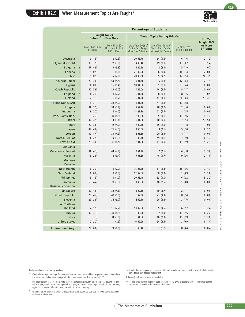

|                                                                                                                                                                                                                                                                                              |                            |                                                       | <b>Percentage of Students</b>                                                                                                                                                                                                                                                                   |                                                                |                                                    |                                    |
|----------------------------------------------------------------------------------------------------------------------------------------------------------------------------------------------------------------------------------------------------------------------------------------------|----------------------------|-------------------------------------------------------|-------------------------------------------------------------------------------------------------------------------------------------------------------------------------------------------------------------------------------------------------------------------------------------------------|----------------------------------------------------------------|----------------------------------------------------|------------------------------------|
|                                                                                                                                                                                                                                                                                              |                            | <b>Taught Topics</b><br><b>Before This Year Only</b>  |                                                                                                                                                                                                                                                                                                 | Taught Topics During This Year <sup>1</sup>                    |                                                    | <b>Not Yet</b>                     |
|                                                                                                                                                                                                                                                                                              | More Than 80%<br>of Topics | More Than 50%<br>Up to and Including<br>80% of Topics | More Than 50% of<br>Topics Each Taught<br>More Than 5 Periods                                                                                                                                                                                                                                   | More Than 50% of<br>Topics Each Taught<br>at Least 1-5 Periods | 50% or Less<br>of Topics Taught                    | Taught 50%<br>or More<br>of Topics |
| Australia                                                                                                                                                                                                                                                                                    | 3(1.5)                     | 6(2.3)                                                | 20(3.7)                                                                                                                                                                                                                                                                                         | 64 (4.6)                                                       | 6(1.6)                                             | 2(1.3)                             |
| Belgium (Flemish)                                                                                                                                                                                                                                                                            | 33(3.5)                    | 27 (3.8)                                              | 4(3.4)                                                                                                                                                                                                                                                                                          | 19(3.0)                                                        | 13(3.7)                                            | 3(1.4)                             |
| <b>Bulgaria</b><br>S                                                                                                                                                                                                                                                                         | 67 (4.9)                   | 19(3.8)                                               | 1(0.1)                                                                                                                                                                                                                                                                                          | 8(2.3)                                                         | 5(1.9)                                             | 1(0.7)                             |
| Canada                                                                                                                                                                                                                                                                                       | 1(0.5)                     | 8(1.6)                                                | 21(2.9)                                                                                                                                                                                                                                                                                         | 56 (3.4)                                                       | 11(1.4)                                            | 2(0.8)                             |
| Chile                                                                                                                                                                                                                                                                                        | 1(0.9)                     | 7(2.0)                                                | 20(3.2)                                                                                                                                                                                                                                                                                         | 35 (4.2)                                                       | 12(2.4)                                            | 24 (3.5)                           |
| Chinese Taipei                                                                                                                                                                                                                                                                               | 20(3.6)                    | 53 (4.4)                                              | 3(1.4)                                                                                                                                                                                                                                                                                          | 5(1.8)                                                         | 17(3.3)                                            | 2(1.4)                             |
| Cyprus<br>$\mathsf S$                                                                                                                                                                                                                                                                        | 0(0.0)                     | 16(5.4)                                               | 10(4.6)                                                                                                                                                                                                                                                                                         | 51(7.0)                                                        | 23 (5.4)                                           | 0(0.0)                             |
| <b>Czech Republic</b><br>England                                                                                                                                                                                                                                                             | 50 (5.9)<br>8(2.4)         | 29(5.0)<br>18(2.7)                                    | 4(2.0)<br>5(1.3)                                                                                                                                                                                                                                                                                | 14(3.4)<br>58 (3.8)                                            | 4(1.7)<br>8(1.5)                                   | 0(0.0)<br>3(0.9)                   |
| Finland                                                                                                                                                                                                                                                                                      | 2(1.1)                     | 6(1.7)                                                | 3(1.3)                                                                                                                                                                                                                                                                                          | 41 (4.8)                                                       | 21(3.4)                                            | 28 (4.1)                           |
| Hong Kong, SAR                                                                                                                                                                                                                                                                               | 15(3.1)                    | 28 (4.2)                                              | 5(1.8)                                                                                                                                                                                                                                                                                          | 41 (4.4)                                                       | 10(2.8)                                            | 1(1.1)                             |
| Hungary                                                                                                                                                                                                                                                                                      | 31(3.5)                    | 33(3.7)                                               | 7(2.1)                                                                                                                                                                                                                                                                                          | 28(3.7)                                                        | 2(1.0)                                             | 0(0.0)                             |
| Indonesia                                                                                                                                                                                                                                                                                    | 9(2.2)                     | 18 (4.0)                                              | 13(3.3)                                                                                                                                                                                                                                                                                         | 51 $(4.7)$                                                     | 8(2.5)                                             | 0(0.0)                             |
| Iran, Islamic Rep.                                                                                                                                                                                                                                                                           | 18(2.7)                    | 30 $(4.5)$                                            | 2(0.8)                                                                                                                                                                                                                                                                                          | 35(4.1)                                                        | 10(2.6)                                            | 4(1.7)                             |
| Israel                                                                                                                                                                                                                                                                                       | 37 (4.9)                   | 14(3.4)                                               | 3(1.8)                                                                                                                                                                                                                                                                                          | 10(3.0)                                                        | 7(2.4)                                             | 29 (5.0)                           |
| Italy                                                                                                                                                                                                                                                                                        | 29 (3.8)                   | 42 (4.0)                                              | 7(2.3)                                                                                                                                                                                                                                                                                          | 15(2.9)                                                        | 7(1.8)                                             | 1(0.6)                             |
| Japan                                                                                                                                                                                                                                                                                        | 49 (4.6)                   | 26 (4.3)                                              | 1(0.8)                                                                                                                                                                                                                                                                                          | 8(2.1)                                                         | 5(2.0)                                             | 12(2.9)                            |
| Jordan                                                                                                                                                                                                                                                                                       | 39 (4.4)                   | 33 (4.3)                                              | 3(1.5)                                                                                                                                                                                                                                                                                          | 20(3.3)                                                        | 4(1.7)                                             | 0(0.0)                             |
| Korea, Rep. of<br>Latvia (LSS)                                                                                                                                                                                                                                                               | 11(2.5)<br>26(4.0)         | 19(3.3)<br>41 (4.4)                                   | 8(2.4)<br>2(1.0)                                                                                                                                                                                                                                                                                | 49 (4.1)<br>11(3.0)                                            | 7(2.0)<br>15(2.9)                                  | 6(1.7)<br>5(2.1)                   |
| Lithuania <sup>+</sup>                                                                                                                                                                                                                                                                       | $- -$                      | $\overline{\phantom{m}}$                              | $- -$                                                                                                                                                                                                                                                                                           | $- -$                                                          | $\hspace{0.1in} - \hspace{0.1in} - \hspace{0.1in}$ | $- -$                              |
| Macedonia, Rep. of                                                                                                                                                                                                                                                                           | 31(4.3)                    | 44 (4.4)                                              | 2(1.2)                                                                                                                                                                                                                                                                                          | 7(2.1)                                                         | 4(1.8)                                             | 13(3.0)                            |
| Malaysia                                                                                                                                                                                                                                                                                     | 18(2.9)                    | 18(3.4)                                               | 7(1.6)                                                                                                                                                                                                                                                                                          | 46 (4.7)                                                       | 9(2.6)                                             | 2(1.0)                             |
| Moldova                                                                                                                                                                                                                                                                                      | - -                        | - -                                                   | - -                                                                                                                                                                                                                                                                                             |                                                                | - -                                                | $ -$                               |
| Morocco                                                                                                                                                                                                                                                                                      | $ -$                       | $ -$                                                  | $ -$                                                                                                                                                                                                                                                                                            | $ -$                                                           | $- -$                                              | $- -$                              |
| Netherlands                                                                                                                                                                                                                                                                                  | 6(3.3)                     | 8(2.7)                                                | 15(6.2)                                                                                                                                                                                                                                                                                         | 51 (6.8)                                                       | 15(3.6)                                            | 7(4.7)                             |
| <b>New Zealand</b>                                                                                                                                                                                                                                                                           | 0(0.0)                     | 1(0.8)                                                | 12(2.6)                                                                                                                                                                                                                                                                                         | 80(3.3)                                                        | 1(0.9)                                             | 5(1.8)                             |
| Philippines                                                                                                                                                                                                                                                                                  | 5(1.5)                     | 1(1.0)                                                | 20(3.4)                                                                                                                                                                                                                                                                                         | 53 (4.0)                                                       | 6(2.2)                                             | 15(3.2)                            |
| Romania<br><b>Russian Federation</b>                                                                                                                                                                                                                                                         | 69 (4.4)<br>- -            | 20(3.9)<br>$- -$                                      | 1(0.0)<br>$- -$                                                                                                                                                                                                                                                                                 | 10(2.5)<br>$- -$                                               | 1(0.0)<br>$- -$                                    | 0(0.0)<br>$- -$                    |
| Singapore                                                                                                                                                                                                                                                                                    | 39 (4.8)                   | 32 (4.6)                                              | 8(2.5)                                                                                                                                                                                                                                                                                          | 19(3.7)                                                        | 2(1.1)                                             | 0(0.0)                             |
| <b>Slovak Republic</b>                                                                                                                                                                                                                                                                       | 23(4.2)                    | 40 (5.0)                                              | 6(2.3)                                                                                                                                                                                                                                                                                          | 23(4.3)                                                        | 8(2.4)                                             | 0(0.0)                             |
| Slovenia                                                                                                                                                                                                                                                                                     | 29(3.9)                    | 34(3.7)                                               | 8(2.1)                                                                                                                                                                                                                                                                                          | 26(3.8)                                                        | 3(1.6)                                             | 0(0.0)                             |
| South Africa                                                                                                                                                                                                                                                                                 |                            |                                                       | - -                                                                                                                                                                                                                                                                                             |                                                                | $ -$                                               | $ -$                               |
| Thailand                                                                                                                                                                                                                                                                                     | 4(1.5)                     | 11(2.7)                                               | 13 (2.9)                                                                                                                                                                                                                                                                                        | 55 (4.5)                                                       | 6(2.2)                                             | 10(2.4)                            |
| Tunisia                                                                                                                                                                                                                                                                                      | 33(4.3)                    | 40 (4.5)                                              | 8(2.5)                                                                                                                                                                                                                                                                                          | 2(1.4)                                                         | 10(2.5)                                            | 8(2.2)                             |
| <b>Turkey</b>                                                                                                                                                                                                                                                                                | 18(3.3)                    | 34 (3.8)                                              | 5(1.5)                                                                                                                                                                                                                                                                                          | 16(2.3)                                                        | 16(2.9)                                            | 13(2.8)                            |
|                                                                                                                                                                                                                                                                                              | 10(2.2)                    |                                                       |                                                                                                                                                                                                                                                                                                 | 54 (3.6)                                                       |                                                    | 6(1.4)                             |
| <b>International Avg.</b>                                                                                                                                                                                                                                                                    | 22(0.6)                    | 23(0.6)                                               | 8(0.4)                                                                                                                                                                                                                                                                                          | 32(0.7)                                                        | 8(0.4)                                             | 6(0.4)                             |
| <b>United States</b>                                                                                                                                                                                                                                                                         |                            | 11(1.9)                                               | 16(2.9)                                                                                                                                                                                                                                                                                         |                                                                | 3(0.9)                                             |                                    |
| ata provided by teachers.<br>of topic coverage for measurement are based on combined responses to questions about<br>ual mathematics subtopics in the content area described in exhibit 5.13.<br>pic in 5.13, teachers were asked if the topic was taught before this year, taught 1-5 peri- |                            |                                                       | () Standard errors appear in parentheses. Because results are rounded to the nearest whole number,<br>some totals may appear inconsistent.<br>A dash (-) indicates data are not available.<br>An "r" indicates teacher response data available for 70-84% of students. An "s" indicates teacher |                                                                |                                                    |                                    |
| ar, taught more than 5 periods this year, or not yet taught. Topics taught during this year,<br>if taught before this year, are included in this category.<br>ested the same cohort of students as other countries, but later in 1999, at the beginning<br>school year.                      |                            |                                                       |                                                                                                                                                                                                                                                                                                 | response data available for 50-69% of students.                |                                                    |                                    |
|                                                                                                                                                                                                                                                                                              |                            |                                                       |                                                                                                                                                                                                                                                                                                 |                                                                |                                                    |                                    |
|                                                                                                                                                                                                                                                                                              |                            |                                                       | The Mathematics Curriculum                                                                                                                                                                                                                                                                      |                                                                |                                                    |                                    |

Background data provided by teachers.

- ( ) Standard errors appear in parentheses. Because results are rounded to the nearest whole number, some totals may appear inconsistent.
- \* Categories of topic coverage for measurement are based on combined responses to questions about the individual mathematics subtopics in the content area described in exhibit 5.13.
- 1 For each topic in 5.13, teachers were asked if the topic was taught before this year, taught 1-5 periods this year, taught more than 5 periods this year, or not yet taught. Topics taught during this year, regardless if taught before this year, are included in this category.
- ‡ Lithuania tested the same cohort of students as other countries, but later in 1999, at the beginning of the next school year.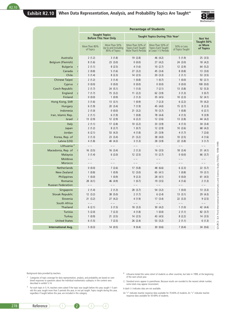#### **Exhibit R2.10 When Data Representation, Analysis, and Probability Topics Are Taught\***



|                                      |                            |                                                       | <b>Percentage of Students</b>                                |                                                                |                                 |                                    |
|--------------------------------------|----------------------------|-------------------------------------------------------|--------------------------------------------------------------|----------------------------------------------------------------|---------------------------------|------------------------------------|
|                                      |                            | <b>Taught Topics</b><br><b>Before This Year Only</b>  |                                                              | Taught Topics During This Year <sup>1</sup>                    |                                 | <b>Not Yet</b>                     |
|                                      | More Than 80%<br>of Topics | More Than 50%<br>Up to and Including<br>80% of Topics | More Than 50% of<br>Topics Each Taught<br>More Than5 Periods | More Than 50% of<br>Topics Each Taught<br>at Least 1-5 Periods | 50% or Less<br>of Topics Taught | Taught 50%<br>or More<br>of Topics |
| Australia                            | 2(1.2)                     | 3(1.8)                                                | 19 (2.8)                                                     | 46 (4.2)                                                       | 5(1.9)                          | 25(3.5)                            |
| Belgium (Flemish)                    | 8(1.6)                     | 23(3.0)                                               | 0(0.0)                                                       | 27(4.2)                                                        | 24(3.0)                         | 18 (4.2)                           |
| <b>Bulgaria</b>                      | 2(1.1)                     | 8(2.5)                                                | 4(1.6)                                                       | 10(2.7)                                                        | 12(2.9)                         | 64 (5.2)                           |
| Canada                               | 2(0.8)                     | 5(1.6)                                                | 27(3.2)                                                      | 45 (3.4)                                                       | 8(0.8)                          | 13(3.0)                            |
| Chile                                | 3(1.4)                     | 8(2.3)                                                | 14(2.5)                                                      | 20(3.3)                                                        | 2(1.1)                          | 53 (3.5)                           |
| Chinese Taipei                       | 2(1.2)                     | 3(1.4)                                                | 1(0.8)                                                       | 1(0.7)                                                         | 1(0.0)                          | 92(2.1)                            |
| Cyprus                               | 0(0.0)                     | 0(0.0)                                                | 0(0.0)                                                       | 0(0.0)                                                         | 0(0.0)                          | 100(0.0)                           |
| <b>Czech Republic</b>                | 2(1.7)                     | 24(5.1)                                               | 1(1.0)                                                       | 7(2.1)                                                         | 13(3.8)                         | 52 (5.3)                           |
| England<br>$\mathsf S$               | 7(1.7)                     | 15(3.2)                                               | 11(2.2)                                                      | 62(3.9)                                                        | 3(1.3)                          | 3(0.7)                             |
| Finland                              | 0(0.0)                     | 1(0.9)                                                | 2(1.3)                                                       | 35 (4.5)                                                       | 10(2.3)                         | 52 (4.1)                           |
| Hong Kong, SAR                       | 3(1.6)                     | 13(3.1)                                               | 1(0.9)                                                       | 7(2.3)                                                         | 6(2.2)                          | 70 (4.2)                           |
| Hungary                              | 6(1.9)                     | 20(3.4)                                               | 7(1.9)                                                       | 45 (4.0)                                                       | 15(2.7)                         | 8(2.3)                             |
| Indonesia                            | 2(1.0)                     | 0(0.0)                                                | 21(3.2)                                                      | 70(3.7)                                                        | 1(0.8)                          | 6(2.1)                             |
| Iran, Islamic Rep.                   | 2(1.1)                     | 6(1.9)                                                | 1(0.8)                                                       | 78 (4.4)                                                       | 4(1.5)                          | 9(3.9)                             |
| Israel                               | 13 (2.9)                   | 12 (2.9)                                              | 6(2.2)                                                       | 12(2.6)                                                        | 13(2.8)                         | 44 (4.2)                           |
| Italy                                | 2(1.1)                     | 17(2.8)                                               | 10(2.2)                                                      | 33 (3.9)                                                       | 4(1.5)                          | 34 (3.4)                           |
| Japan                                | 2(1.2)                     | 8(2.7)                                                | 1(0.7)                                                       | 12(2.9)                                                        | 10(2.6)                         | 68 (4.2)                           |
| Jordan                               | 6(2.1)                     | 53 (4.3)                                              | 4(1.8)                                                       | 25(3.9)                                                        | 4(1.7)                          | 7(2.6)                             |
| Korea, Rep. of                       | 3(1.3)                     | 23 (3.4)                                              | 21(3.2)                                                      | 38 (4.0)                                                       | 10(2.5)                         | 4(1.6)                             |
| Latvia (LSS)                         | 4(1.8)                     | 40 (4.3)                                              | 3(1.3)                                                       | 28 (3.9)                                                       | 22 (3.8)                        | 3(1.7)                             |
| Lithuania <sup>+</sup>               | $- -$                      | $-$                                                   | $-$                                                          | $ -$                                                           | $ -$                            |                                    |
| Macedonia, Rep. of                   | 16(3.5)                    | 16(3.4)                                               | 2(1.3)                                                       | 16(3.5)                                                        | 18(3.4)                         | 31(4.1)                            |
| Malaysia                             | 3(1.4)                     | 6(2.0)                                                | 12(2.5)                                                      | 13(2.7)                                                        | 0(0.0)                          | 66 (3.7)                           |
| Moldova                              | $- -$                      | $ -$                                                  | $- -$                                                        | $ -$                                                           | $ -$                            |                                    |
| Morocco                              |                            |                                                       |                                                              |                                                                | $ -$                            |                                    |
| Netherlands                          | 0(0.0)                     | 7(2.6)                                                | 17(5.8)                                                      | 48 (6.6)                                                       | 6(2.3)                          | 22 (5.7)                           |
| <b>New Zealand</b>                   | 1(0.8)                     | 1(0.9)                                                | 12(3.0)                                                      | 65 (4.1)                                                       | 1(0.8)                          | 19(3.1)                            |
| Philippines                          | 1(0.0)                     | 1(0.9)                                                | 9(2.3)                                                       | 28 (4.1)                                                       | 0(0.0)                          | 61(4.5)                            |
| Romania<br><b>Russian Federation</b> | 28 (4.1)<br>$- -$          | 46 (4.9)<br>$- -$                                     | 1(0.7)<br>$- -$                                              | 19(3.5)<br>$- -$                                               | 4(1.6)<br>$ -$                  | 2(1.3)<br>$ -$                     |
| Singapore                            | 2(1.4)                     | 2(1.3)                                                | 28 (3.7)                                                     | 54 (3.2)                                                       | 1(0.0)                          | 13(3.3)                            |
| Slovak Republic                      | 12(3.2)                    | 38 (5.0)                                              | 2(1.7)                                                       | 6(2.4)                                                         | 13(3.1)                         | 29 (4.3)                           |
| Slovenia                             | 21(3.2)                    | 27(4.2)                                               | 4(1.9)                                                       | 17(3.4)                                                        | 22(3.3)                         | 9(2.5)                             |
| South Africa                         | $ -$                       | $- -$                                                 | $ -$                                                         | $ -$                                                           | $ -$                            | $- -$                              |
| Thailand                             | 6(2.1)                     | 3(1.5)                                                | 18(3.3)                                                      | 30(4.2)                                                        | 1(1.0)                          | 42 (4.4)                           |
| Tunisia                              | 5(2.0)                     | 7(2.3)                                                | 4(1.8)                                                       | 1(0.0)                                                         | 2(1.1)                          | 82 (3.7)                           |
| Turkey                               | 1(0.9)                     | 21(3.5)                                               | 14(2.5)                                                      | 43 (4.5)                                                       | 8(2.2)                          | 14(3.5)                            |
| <b>United States</b>                 | 6(1.5)                     | 7(2.5)                                                | 26(2.4)                                                      | 53 $(3.2)$                                                     | 2(1.1)                          | 6(1.3)                             |
|                                      |                            |                                                       |                                                              |                                                                |                                 |                                    |
| <b>International Avg.</b>            | 5(0.3)                     | 14(0.5)                                               | 9(0.4)                                                       | 30(0.6)                                                        | 7(0.4)                          | 34 (0.6)                           |

Background data provided by teachers.

- \* Categories of topic coverage for data representation, analysis, and probability are based on combined responses to questions about the individual mathematics subtopics in the content area described in exhibit 5.14.
- 1 For each topic in 5.14, teachers were asked if the topic was taught before this year, taught 1-5 periods this year, taught more than 5 periods this year, or not yet taught. Topics taught during this year, regardless if taught before this year, are included in this category.
- ‡ Lithuania tested the same cohort of students as other countries, but later in 1999, at the beginning of the next school year.
- ( ) Standard errors appear in parentheses. Because results are rounded to the nearest whole number, some totals may appear inconsistent.

A dash (–) indicates data are not available.

An "r" indicates teacher response data available for 70-84% of students. An "s" indicates teacher response data available for 50-69% of students.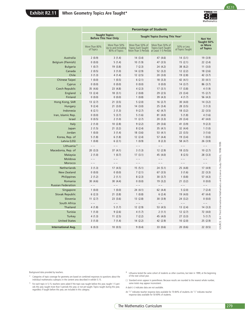

R2.11

| Australia<br><b>Belgium (Flemish)</b><br><b>Bulgaria</b><br>Canada |   |                                                               |                                                       |                                                                                    |                                                    |                                 |                                    |
|--------------------------------------------------------------------|---|---------------------------------------------------------------|-------------------------------------------------------|------------------------------------------------------------------------------------|----------------------------------------------------|---------------------------------|------------------------------------|
|                                                                    |   |                                                               | <b>Taught Topics</b><br><b>Before This Year Only</b>  |                                                                                    | Taught Topics During This Year <sup>1</sup>        |                                 | <b>Not Yet</b>                     |
|                                                                    |   | More Than 80%<br>of Topics                                    | More Than 50%<br>Up to and Including<br>80% of Topics | More Than 50% of<br>Topics Each Taught<br>More Than 5 Periods at Least 1-5 Periods | More Than 50% of<br>Topics Each Taught             | 50% or Less<br>of Topics Taught | Taught 50%<br>or More<br>of Topics |
|                                                                    |   | 2(0.9)                                                        | 3(1.4)                                                | 14(3.4)                                                                            | 47 (4.6)                                           | 14(3.1)                         | 19(3.9)                            |
|                                                                    |   | 0(0.0)                                                        | 5(1.4)                                                | 10(1.9)                                                                            | 47 (3.5)                                           | 15(2.1)                         | 22(2.4)                            |
|                                                                    |   | 1(0.7)                                                        | 19(3.8)                                               | 7(2.3)                                                                             | 24 (4.2)                                           | 38 (6.2)                        | 11(3.0)                            |
|                                                                    |   | 2(0.5)                                                        | 3(1.0)                                                | 14(2.9)                                                                            | 52(3.2)                                            | 12(2.2)                         | 18(2.6)                            |
| Chile                                                              |   | 3(1.3)                                                        | 4(1.4)                                                | 12(2.5)                                                                            | 20(3.0)                                            | 19 (2.8)                        | 42 (3.7)                           |
| Chinese Taipei<br>Cyprus                                           |   | 1(0.0)<br>0(0.0)                                              | 1(0.5)<br>0(0.0)                                      | 6(2.1)<br>0(0.0)                                                                   | 18(3.3)<br>0(0.0)                                  | 42 (4.1)<br>14(3.7)             | 33 $(4.1)$<br>86(3.7)              |
| <b>Czech Republic</b>                                              |   | 35 (4.6)                                                      | 23 (4.8)                                              | 4(2.3)                                                                             | 17(3.1)                                            | 17(3.8)                         | 4(1.9)                             |
| England                                                            |   | 13(2.4)                                                       | 18(3.1)                                               | 2(0.8)                                                                             | 29 (2.5)                                           | 23(3.4)                         | 15(2.7)                            |
| Finland                                                            |   | 0(0.0)                                                        | 0(0.0)                                                | 1(0.8)                                                                             | 39 (4.3)                                           | 4(1.7)                          | 56 (4.3)                           |
| Hong Kong, SAR                                                     |   | 13(2.7)                                                       | 21(3.5)                                               | 5(2.0)                                                                             | 16(2.7)                                            | 30(4.0)                         | 14(3.2)                            |
| Hungary                                                            |   | 9(2.4)                                                        | 21(3.0)                                               | 14(3.0)                                                                            | 25(3.4)                                            | 28 (3.5)                        | 3(1.3)                             |
| Indonesia                                                          |   | 6(2.1)                                                        | 2(1.3)                                                | 9(2.7)                                                                             | 42 (4.7)                                           | 18(3.2)                         | 22(3.5)                            |
| Iran, Islamic Rep.                                                 |   | 0(0.0)                                                        | 5(3.7)                                                | 5(1.6)                                                                             | 81(4.0)                                            | 5(1.8)                          | 4(1.6)                             |
| Israel                                                             | r | 0(0.5)                                                        | 2(1.0)                                                | 11(2.7)                                                                            | 20(3.3)                                            | 20(3.4)                         | 47 (4.0)                           |
| Italy                                                              |   | 2(1.0)                                                        | 10(2.8)                                               | 9(2.2)                                                                             | 29 (3.6)                                           | 41 (3.9)                        | 9(2.3)                             |
| Japan                                                              |   | 2(1.5)                                                        | 21(3.2)                                               | 8(2.4)                                                                             | 35(4.1)                                            | 32 (4.4)                        | 1(1.0)                             |
| Jordan<br>Korea, Rep. of                                           |   | 1(0.0)<br>5(1.8)                                              | 3(1.4)<br>6(1.8)                                      | 18(3.6)<br>12(2.4)                                                                 | 53 (4.1)<br>57(4.4)                                | 22(3.5)<br>19(3.4)              | 3(1.6)<br>1(0.0)                   |
| Latvia (LSS)                                                       |   | 1(0.8)                                                        | 6(2.1)                                                | 1(0.9)                                                                             | 8(2.3)                                             | 58 (4.7)                        | 26 (3.9)                           |
| Lithuania <sup>#</sup>                                             |   | $\hspace{0.1in} - \hspace{0.1in} - \hspace{0.1in}$            | $- -$                                                 | $\hspace{0.1cm} - \hspace{0.1cm} - \hspace{0.1cm}$                                 | $\hspace{0.1cm} - \hspace{0.1cm} - \hspace{0.1cm}$ | $ -$                            | $- -$                              |
| Macedonia, Rep. of                                                 |   | 20(3.3)                                                       | 37(4.1)                                               | 3(1.3)                                                                             | 12(2.9)                                            | 18(3.5)                         | 10(2.7)                            |
| Malaysia                                                           |   | 2(1.0)                                                        | 1(0.7)                                                | 17(3.1)                                                                            | 45 (4.0)                                           | 8(2.5)                          | 28 (3.3)                           |
| Moldova                                                            |   | $- -$                                                         |                                                       | $ -$                                                                               |                                                    |                                 | --                                 |
| Morocco                                                            |   | $-\ -$                                                        | $- -$                                                 | $- -$                                                                              | $- -$                                              | $- -$                           | $ -$                               |
| Netherlands                                                        |   | 3(1.3)                                                        | 17(4.5)                                               | 15(5.1)                                                                            | 24 (5.1)                                           | 25 (4.8)                        | 17 (4.9)                           |
| <b>New Zealand</b>                                                 |   | 0(0.0)                                                        | 0(0.0)                                                | 7(2.1)                                                                             | 67(3.5)                                            | 3(1.6)                          | 22(3.3)                            |
| Philippines                                                        |   | 2(1.2)                                                        | 2(1.1)                                                | 8(2.3)                                                                             | 30(3.7)                                            | 1(0.8)                          | 57(4.3)                            |
| Romania<br><b>Russian Federation</b>                               |   | 30(4.6)<br>$\hspace{0.1cm} - \hspace{0.1cm} - \hspace{0.1cm}$ | 30(4.4)<br>$- -$                                      | 0(0.0)<br>$ -$                                                                     | 19(3.2)<br>$- -$                                   | 21(3.2)<br>$ -$                 | 0(0.0)<br>$ -$                     |
| Singapore                                                          |   | 1(0.0)                                                        | 1(0.0)                                                | 24(4.1)                                                                            | 62 (4.4)                                           | 5(2.0)                          | 7(2.4)                             |
| Slovak Republic                                                    |   | 6(2.3)                                                        | 21(3.8)                                               | 1(0.8)                                                                             | 6(2.4)                                             | 19 (4.0)                        | 47 (4.4)                           |
| Slovenia                                                           |   | 11(2.7)                                                       | 23(3.6)                                               | 13(2.8)                                                                            | 30(3.9)                                            | 24(3.2)                         | 0(0.0)                             |
| South Africa                                                       |   | $- -$                                                         | - -                                                   | - -                                                                                | $ -$                                               | $- -$                           | $ -$                               |
| Thailand                                                           |   | 4(1.8)                                                        | 5(1.7)                                                | 12(2.9)                                                                            | 53 (4.5)                                           | 13(2.4)                         | 14(3.3)                            |
| Tunisia                                                            |   | 1(1.0)                                                        | 9(2.6)                                                | 4(1.7)                                                                             | 2(1.1)                                             | 12(2.7)                         | 72 (4.0)                           |
| <b>Turkey</b>                                                      |   | 4(1.3)                                                        | 11(2.5)                                               | 7(2.2)                                                                             | 45 (4.0)                                           | 27(3.3)                         | 5(1.7)                             |
| <b>United States</b>                                               |   | 3(1.0)                                                        | 7(1.4)                                                | 14(2.2)                                                                            | 42 (2.9)                                           | 10(2.0)                         | 25(2.9)                            |
| <b>International Avg.</b>                                          |   | 6(0.3)                                                        | 10(0.5)                                               | 9(0.4)                                                                             | 33 (0.6)                                           | 20(0.6)                         | 22(0.5)                            |

Background data provided by teachers.

- \* Categories of topic coverage for geometry are based on combined responses to questions about the individual mathematics subtopics in the content area described in exhibit 5.15.
- ‡ Lithuania tested the same cohort of students as other countries, but later in 1999, at the beginning of the next school year.
- ( ) Standard errors appear in parentheses. Because results are rounded to the nearest whole number, some totals may appear inconsistent.
- 1 For each topic in 5.15, teachers were asked if the topic was taught before this year, taught 1-5 periods this year, taught more than 5 periods this year, or not yet taught. Topics taught during this year, regardless if t
- An "r" indicates teacher response data available for 70-84% of students. An "s" indicates teacher response data available for 50-69% of students.